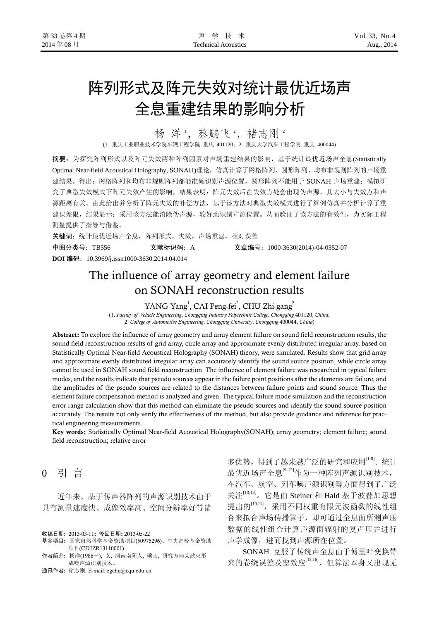# 阵列形式及阵元失效对统计最优近场声 全息重建结果的影响分析

## 杨 洋 ', 蔡鹏飞 ', 褚志刚 '

(1. 重庆工业职业技术学院车辆工程学院 重庆 401120;2. 重庆大学汽车工程学院 重庆 400044)

摘要:为探究阵列形式以及阵元失效两种阵列因素对声场重建结果的影响,基于统计最优近场声全息(Statistically Optimal Near-field Acoustical Holography, SONAH)理论,仿真计算了网格阵列、圆形阵列、均布非规则阵列的声场重 建结果。得出: 网格阵列和均布非规则阵列都能准确识别声源位置, 圆形阵列不能用于 SONAH 声场重建; 模拟研 究了典型失效模式下阵元失效产生的影响,结果表明:阵元失效后在失效点处会出现伪声源,其大小与失效点和声 源距离有关。由此给出并分析了阵元失效的补偿方法,基于该方法对典型失效模式进行了算例仿真并分析计算了重 建误差限,结果显示:采用该方法能消除伪声源,较好地识别声源位置。从而验证了该方法的有效性,为实际工程 测量提供了指导与借鉴。

关键词:统计最优近场声全息,阵列形式,失效,声场重建,相对误差 中图分类号:TB556 文献标识码:A 文章编号:1000-3630(2014)-04-0352-07 **DOI** 编码:10.3969/j.issn1000-3630.2014.04.014

## The influence of array geometry and element failure on SONAH reconstruction results

YANG Yang<sup>1</sup>, CAI Peng-fei<sup>2</sup>, CHU Zhi-gang<sup>2</sup>

(1. *Faculty of Vehicle Engineering*, *Chongqing Industry Polytechnic College*, *Chongqing* 401120, *China*; 2. *College of Automotive Engineering*, *Chongqing University*, *Chongqing* 400044, *China*)

Abstract: To explore the influence of array geometry and array element failure on sound field reconstruction results, the sound field reconstruction results of grid array, circle array and approximate evenly distributed irregular array, based on Statistically Optimal Near-field Acoustical Holography (SONAH) theory, were simulated. Results show that grid array and approximate evenly distributed irregular array can accurately identify the sound source position, while circle array cannot be used in SONAH sound field reconstruction. The influence of element failure was researched in typical failure modes, and the results indicate that pseudo sources appear in the failure point positions after the elements are failure, and the amplitudes of the pseudo sources are related to the distances between failure points and sound source. Thus the element failure compensation method is analyzed and given. The typical failure mode simulation and the reconstruction error range calculation show that this method can eliminate the pseudo sources and identify the sound source position accurately. The results not only verify the effectiveness of the method, but also provide guidance and reference for practical engineering measurements.

Key words: Statistically Optimal Near-field Acoustical Holography(SONAH); array geometry; element failure; sound field reconstruction; relative error

0 引 言

 $\overline{a}$ 

近年来,基于传声器阵列的声源识别技术由于 具有测量速度快、成像效率高、空间分辨率好等诸

通讯作者: 褚志刚, E-mail: zgchu@cqu.edu.cn

多优势,得到了越来越广泛的研究和应用[1-8]。统计 最优近场声全息[9-12]作为一种阵列声源识别技术, 在汽车、航空、列车噪声源识别等方面得到了广泛 关注[13,14]。它是由 Steiner 和 Hald 基于波叠加思想 提出的[10,11],采用不同权重有限元波函数的线性组 合来拟合声场传播算子,即可通过全息面所测声压 数据的线性组合计算声源面辐射的复声压并进行 声学成像,进而找到声源所在位置。

SONAH 克服了传统声全息由于傅里叶变换带 来的卷绕误差及窗效应[15,16], 但算法本身又出现无

收稿日期: 2013-03-11; 修回日期: 2013-05-22

基金项目: 国家自然科学基金资助项目(50975296)、中央高校基金资助 项目(CDJZR13110001)

作者简介: 杨洋(1988-), 女, 河南南阳人, 硕士, 研究方向为波束形 成噪声源识别技术。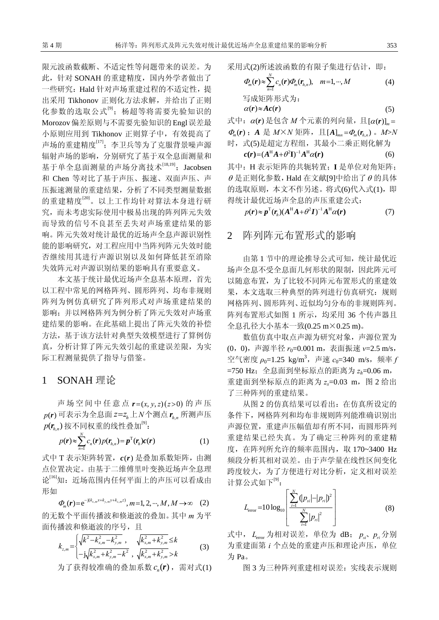限元波函数截断、不适定性等问题带来的误差。为 此,针对 SONAH 的重建精度,国内外学者做出了 一些研究: Hald 针对声场重建过程的不适定性, 提 出采用 Tikhonov 正则化方法求解,并给出了正则 化参数的选取公式<sup>[9]</sup>; 杨超等将需要先验知识的 Morozov偏差原则与不需要先验知识的Engl误差最 小原则应用到 Tikhonov 正则算子中,有效提高了 声场的重建精度[17];李卫兵等为了克服背景噪声源 辐射声场的影响,分别研究了基于双全息面测量和 基于单全息面测量的声场分离技术[18,19]; Jacobsen 和 Chen 等对比了基于声压、振速、双面声压、声 压振速测量的重建结果,分析了不同类型测量数据 的重建精度[20]。以上工作均针对算法本身进行研 究,而未考虑实际使用中极易出现的阵列阵元失效 而导致的信号不良甚至丢失对声场重建结果的影 响。阵元失效对统计最优的近场声全息声源识别性 能的影响研究,对工程应用中当阵列阵元失效时能 否继续用其进行声源识别以及如何降低甚至消除 失效阵元对声源识别结果的影响具有重要意义。

本文基于统计最优近场声全息基本原理,首先 以工程中常见的网格阵列、圆形阵列、均布非规则 阵列为例仿真研究了阵列形式对声场重建结果的 影响;并以网格阵列为例分析了阵元失效对声场重 建结果的影响。在此基础上提出了阵元失效的补偿 方法,基于该方法针对典型失效模型进行了算例仿 真,分析计算了阵元失效引起的重建误差限,为实 际工程测量提供了指导与借鉴。

## 1 SONAH 理论

声场空间中任意点  $r = (x, y, z) (z > 0)$ 的声压  $p(r)$  可表示为全息面  $z=z<sub>h</sub>$ 上 $N$ 个测点  $r<sub>h</sub>$ , 所测声压  $p(\textbf{\emph{r}}_{_{\!h\!,n}})$ 按不同权重的线性叠加 $^{[9]}$ :

$$
p(\mathbf{r}) \approx \sum_{n=1}^{N} c_n(\mathbf{r}) p(\mathbf{r}_{h,n}) = \mathbf{p}^{T}(\mathbf{r}_h) \mathbf{c}(\mathbf{r})
$$
 (1)

式中 T 表示矩阵转置, c(r) 是叠加系数矩阵, 由测 点位置决定。由基于二维傅里叶变换近场声全息理 论<sup>[16]</sup>知: 近场范围内任何平面上的声压可以看成由 形如

 $\Phi_m(\mathbf{r}) = e^{-j(k_{x,m}x + k_{y,m}y + k_{z,m}z)}$ ,  $m = 1, 2, \cdots, M, M \rightarrow \infty$  (2) 的无数个平面传播波和倏逝波的叠加。其中 *m* 为平 面传播波和倏逝波的序号,且

$$
k_{z,m} = \begin{cases} \sqrt{k^2 - k_{x,m}^2 - k_{y,m}^2}, & \sqrt{k_{x,m}^2 + k_{y,m}^2} \le k\\ -\mathrm{j}\sqrt{k_{x,m}^2 + k_{y,m}^2 - k^2}, & \sqrt{k_{x,m}^2 + k_{y,m}^2} > k \end{cases}
$$
 (3)

为了 我得ୃ\r被ం,
$$
\hat{B}
$$
加系数 $c_n(\mathbf{r})$ , 羪对式(1)

采用式(2)所述波函数的有限子集进行估计,即:

$$
\Phi_m(\mathbf{r}) \approx \sum_{n=1}^N c_n(\mathbf{r}) \Phi_m(\mathbf{r}_{h,n}), \quad m=1,\cdots,M \tag{4}
$$
\n
$$
\Xi \downarrow \downarrow \downarrow \downarrow \downarrow \downarrow \downarrow
$$

$$
\alpha(r) \approx Ac(r) \tag{5}
$$

式中:  $\alpha$ (r) 是包含 *M* 个元素的列向量, 且[ $\alpha$ (r)] =  $\Phi_m(\mathbf{r})$ ;  $A \not\equiv M \times N \not\equiv \mathbb{F}$ ,  $\Xi[A]_{mn} = \Phi_m(\mathbf{r}_{n,n})$  。  $M \geq N$ 时,式(5)是超定方程组,其最小二乘正则化解为

$$
c(r)=(A^{\mathrm{H}}A+\theta^2\mathbf{I})^{-1}A^{\mathrm{H}}\alpha(r) \tag{6}
$$
\n  
\n其中: H 涡示短的共転特置; I 是単位对角短;  $\theta$ 是正则化参数, Had đ文載[9]中:\n  
\nH<sub>2</sub>

的选取原则,本文不作另述。将式(6)代入式(1),即 得统计最优近场声全息的声压重建公式:

$$
p(\mathbf{r}) \approx \mathbf{p}^{\mathrm{T}}(\mathbf{r}_{h})(\mathbf{A}^{\mathrm{H}}\mathbf{A}+\theta^{2}\mathbf{I})^{-1}\mathbf{A}^{\mathrm{H}}\alpha(\mathbf{r})
$$
 (7)

## 2 阵列阵元布置形式的影响

由第1节中的理论推导公式可知,统计最优近 场声全息不受全息面几何形状的限制,因此阵元可 以随意布置,为了比较不同阵元布置形式的重建效 果,本文选取三种典型的阵列进行仿真研究:规则 网格阵列、圆形阵列、近似均匀分布的非规则阵列。 阵列布置形式如图 1 所示,均采用 36 个传声器且 全息孔径大小基本一致(0.25 m×0.25 m)。

数值仿真中取点声源为研究对象,声源位置为 (0, 0), 声源半径  $r_0$ =0.001 m, 表面振速 *v*=2.5 m/s, 空气密度 *ρ*<sub>0</sub>=1.25 kg/m<sup>3</sup>, 声速 *c*<sub>0</sub>=340 m/s, 频率 *f* =750 Hz;全息面到坐标原点的距离为 *zh*=0.06 m, 重建面到坐标原点的距离为 *zs*=0.03 m,图 2 给出 了三种阵列的重建结果。

从图 2 的仿真结果可以看出:在仿真所设定的 条件下,网格阵列和均布非规则阵列能准确识别出 声源位置,重建声压幅值却有所不同,而圆形阵列 重建结果已经失真。为了确定三种阵列的重建精 度, 在阵列所允许的频率范围内, 取 170~3400 Hz 频段分析其相对误差。由于声学量在线性区间变化 跨度较大,为了方便进行对比分析,定义相对误差 计算公式如下[9]:

$$
L_{\text{error}} = 10 \log_{10} \left[ \frac{\sum_{i=1}^{N} (|p_{si}| - |p_{ri}|)^2}{\sum_{i=1}^{N} |p_{ri}|^2} \right]
$$
(8)

式中,  $L_{\text{error}}$ 为相对误差, 单位为 dB;  $p_{si}$ ,  $p_{ri}$ 分别 为重建面第 *i* 个点处的重建声压和理论声压, 单位 为 Pa。

图 3 为三种阵列重建相对误差:实线表示规则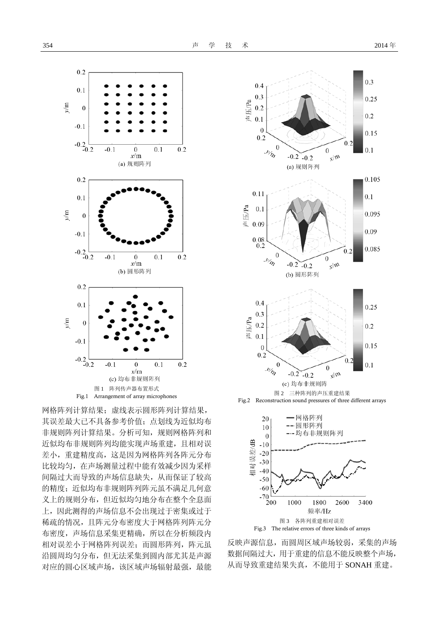

网格阵列计算结果;虚线表示圆形阵列计算结果, 其误差最大已不具备参考价值;点划线为近似均布 非规则阵列计算结果。分析可知,规则网格阵列和 近似均布非规则阵列均能实现声场重建,且相对误 差小,重建精度高,这是因为网格阵列各阵元分布 比较均匀,在声场测量过程中能有效减少因为采样 间隔过大而导致的声场信息缺失,从而保证了较高 的精度;近似均布非规则阵列阵元虽不满足几何意 义上的规则分布,但近似均匀地分布在整个全息面 上,因此测得的声场信息不会出现过于密集或过于 稀疏的情况,且阵元分布密度大于网格阵列阵元分 布密度,声场信息采集更精确,所以在分析频段内 相对误差小于网格阵列误差;而圆形阵列,阵元虽 沿圆周均匀分布,但无法采集到圆内部尤其是声源 对应的圆心区域声场,声场辐射最强,最能





反映声源信息,而圆周区域声场较弱,采集的声场 数据间隔过大,用于重建的信息不能反映整个声场, 从而导致重建结果失真,不能用于 SONAH 重建。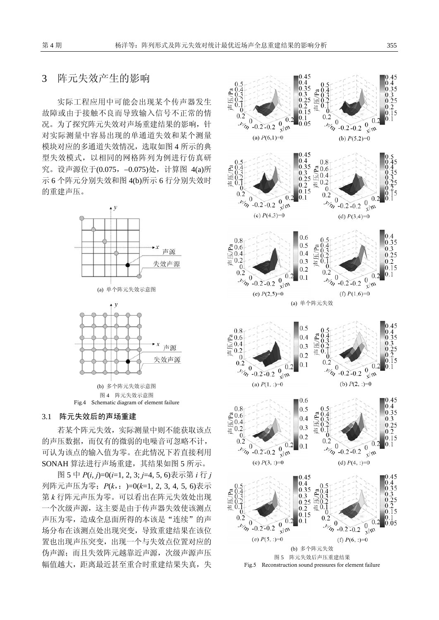## 3 阵元失效产生的影响

实际工程应用中可能会出现某个传声器发生 故障或由于接触不良而导致输入信号不正常的情 况。为了探究阵元失效对声场重建结果的影响,针 对实际测量中容易出现的单通道失效和某个测量 模块对应的多通道失效情况,选取如图 4 所示的典 型失效模式,以相同的网格阵列为例进行仿真研 究。设声源位于(0.075,−0.075)处,计算图 4(a)所 示 6 个阵元分别失效和图 4(b)所示 6 行分别失效时 的重建声压。



(a) 单个阵元失效示意图



图 4 阵元失效示意图 Fig.4 Schematic diagram of element failure

#### 3.1 阵元失效后的声场重建

若某个阵元失效,实际测量中则不能获取该点 的声压数据,而仅有的微弱的电噪音可忽略不计, 可认为该点的输入值为零。在此情况下若直接利用 SONAH 算法进行声场重建,其结果如图 5 所示。

图 5 中 *P*(*i*, *j*)=0(*i*=1, 2, 3; *j*=4, 5, 6)表示第 *i* 行 *j* 列阵元声压为零;*P*(*k*,:)=0(*k*=1, 2, 3, 4, 5, 6)表示 第 *k* 行阵元声压为零。可以看出在阵元失效处出现 一个次级声源,这主要是由于传声器失效使该测点 声压为零,造成全息面所得的本该是"连续"的声 场分布在该测点处出现突变,导致重建结果在该位 置也出现声压突变,出现一个与失效点位置对应的 伪声源;而且失效阵元越靠近声源,次级声源声压 幅值越大,距离最近甚至重合时重建结果失真,失

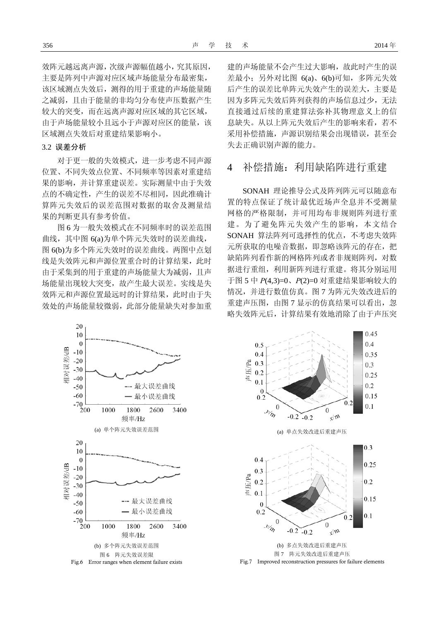效阵元越远离声源,次级声源幅值越小,究其原因, 主要是阵列中声源对应区域声场能量分布最密集, 该区域测点失效后,测得的用于重建的声场能量随 之减弱,且由于能量的非均匀分布使声压数据产生 较大的突变,而在远离声源对应区域的其它区域, 由于声场能量较小且远小于声源对应区的能量,该 区域测点失效后对重建结果影响小。

#### 3.2 误差分析

对于更一般的失效模式,进一步考虑不同声源 位置、不同失效点位置、不同频率等因素对重建结 果的影响,并计算重建误差。实际测量中由于失效 点的不确定性,产生的误差不尽相同,因此准确计 算阵元失效后的误差范围对数据的取舍及测量结 果的判断更具有参考价值。

图 6 为一般失效模式在不同频率时的误差范围 曲线,其中图 6(a)为单个阵元失效时的误差曲线, 图 6(b)为多个阵元失效时的误差曲线。两图中点划 线是失效阵元和声源位置重合时的计算结果,此时 由于采集到的用于重建的声场能量大为减弱,且声 场能量出现较大突变,故产生最大误差。实线是失 效阵元和声源位置最远时的计算结果,此时由于失 效处的声场能量较微弱,此部分能量缺失对参加重 建的声场能量不会产生过大影响,故此时产生的误 差最小;另外对比图 6(a)、6(b)可知,多阵元失效 后产生的误差比单阵元失效产生的误差大,主要是 因为多阵元失效后阵列获得的声场信息过少,无法 直接通过后续的重建算法弥补其物理意义上的信 息缺失。从以上阵元失效后产生的影响来看,若不 采用补偿措施,声源识别结果会出现错误,甚至会 失去正确识别声源的能力。

## 4 补偿措施:利用缺陷阵进行重建

SONAH 理论推导公式及阵列阵元可以随意布 置的特点保证了统计最优近场声全息并不受测量 网格的严格限制,并可用均布非规则阵列进行重 建。为了避免阵元失效产生的影响,本文结合 SONAH 算法阵列可选择性的优点,不考虑失效阵 元所获取的电噪音数据,即忽略该阵元的存在,把 缺陷阵列看作新的网格阵列或者非规则阵列,对数 据进行重组,利用新阵列进行重建。将其分别运用 于图 5 中 *P*(4,3)=0、*P*(2)=0 对重建结果影响较大的 情况,并进行数值仿真。图 7 为阵元失效改进后的 重建声压图, 由图 7 显示的仿真结果可以看出, 忽 略失效阵元后,计算结果有效地消除了由于声压突





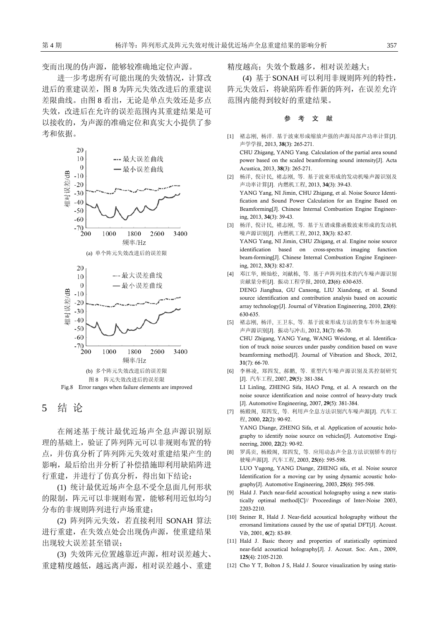变而出现的伪声源,能够较准确地定位声源。

进一步考虑所有可能出现的失效情况,计算改 进后的重建误差,图 8 为阵元失效改进后的重建误 差限曲线。由图 8 看出,无论是单点失效还是多点 失效,改进后在允许的误差范围内其重建结果是可 以接收的,为声源的准确定位和真实大小提供了参 考和依据。



## 5 结 论

在阐述基于统计最优近场声全息声源识别原 理的基础上,验证了阵列阵元可以非规则布置的特 点,并仿真分析了阵列阵元失效对重建结果产生的 影响,最后给出并分析了补偿措施即利用缺陷阵进 行重建,并进行了仿真分析,得出如下结论:

(1) 统计最优近场声全息不受全息面几何形状 的限制,阵元可以非规则布置,能够利用近似均匀 分布的非规则阵列进行声场重建;

(2) 阵列阵元失效,若直接利用 SONAH 算法 进行重建,在失效点处会出现伪声源,使重建结果 出现较大误差甚至错误;

(3) 失效阵元位置越靠近声源,相对误差越大、 重建精度越低,越远离声源,相对误差越小、重建 精度越高;失效个数越多,相对误差越大;

(4) 基于SONAH可以利用非规则阵列的特性, 阵元失效后,将缺陷阵看作新的阵列,在误差允许 范围内能得到较好的重建结果。

#### 参考文献

- [1] 褚志刚, 杨洋. 基于波束形成缩放声强的声源局部声功率计算[J]. 声学学报, 2013, 38(3): 265-271. CHU Zhigang, YANG Yang. Calculation of the partial area sound power based on the scaled beamforming sound intensity[J]. Acta Acustica, 2013, 38(3): 265-271.
- [2] 杨洋, 倪计民, 褚志刚, 等. 基于波束形成的发动机噪声源识别及 声功率计算[J]. 内燃机工程, 2013, 34(3): 39-43. YANG Yang, NI Jimin, CHU Zhigang, et al. Noise Source Identification and Sound Power Calculation for an Engine Based on Beamforming[J]. Chinese Internal Combustion Engine Engineering, 2013, 34(3): 39-43.
- [3] 杨洋, 倪计民, 褚志刚, 等. 基于互谱成像函数波束形成的发动机 噪声源识别[J]. 内燃机工程, 2012, 33(3): 82-87. YANG Yang, NI Jimin, CHU Zhigang, et al. Engine noise source identification based on cross-spectra imaging function beam-forming[J]. Chinese Internal Combustion Engine Engineering, 2012, 33(3): 82-87.
- [4] 邓江华, 顾灿松, 刘献栋, 等. 基于声阵列技术的汽车噪声源识别 贡献量分析[J]. 振动工程学报, 2010, 23(6): 630-635. DENG Jianghua, GU Cansong, LIU Xiandong, et al. Sound source identification and contribution analysis based on acoustic array technology[J]. Journal of Vibration Engineering, 2010, 23(6): 630-635.
- [5] 褚志刚, 杨洋, 王卫东, 等. 基于波束形成方法的货车车外加速噪 声声源识别[J]. 振动与冲击, 2012, 31(7): 66-70. CHU Zhigang, YANG Yang, WANG Weidong, et al. Identification of truck noise sources under passby condition based on wave beamforming method[J]. Journal of Vibration and Shock, 2012, 31(7): 66-70.
- [6] 李林凌, 郑四发, 郝鹏, 等. 重型汽车噪声源识别及其控制研究 [J]. 汽车工程, 2007, 29(5): 381-384. LI Linling, ZHENG Sifa, HAO Peng, et al. A research on the noise source identification and noise control of heavy-duty truck [J]. Automotive Engineering, 2007, 29(5): 381-384. [7] 杨殿阁, 郑四发, 等. 利用声全息方法识别汽车噪声源[J]. 汽车工
- 程, 2000, 22(2): 90-92. YANG Diange, ZHENG Sifa, et al. Application of acoustic holography to identify noise source on vehicles[J]. Automotive Engineering, 2000, 22(2): 90-92.
- [8] 罗禹贡, 杨殿阁, 郑四发, 等. 应用动态声全息方法识别轿车的行 驶噪声源[J]. 汽车工程, 2003, 25(6): 595-598. LUO Yugong, YANG Diange, ZHENG sifa, et al. Noise source Identification for a moving car by using dynamic acoustic holography[J]. Automotive Engineering, 2003, 25(6): 595-598.
- [9] Hald J. Patch near-field acoustical holography using a new statistically optimal method[C]// Proceedings of Inter-Noise 2003, 2203-2210.
- [10] Steiner R, Hald J. Near-field acoustical holography without the errorsand limitations caused by the use of spatial DFT[J]. Acoust. Vib, 2001, 6(2): 83-89.
- [11] Hald J. Basic theory and properties of statistically optimized near-field acoustical holography[J]. J. Acoust. Soc. Am., 2009, 125(4): 2105-2120.
- [12] Cho Y T, Bolton J S, Hald J. Source visualization by using statis-